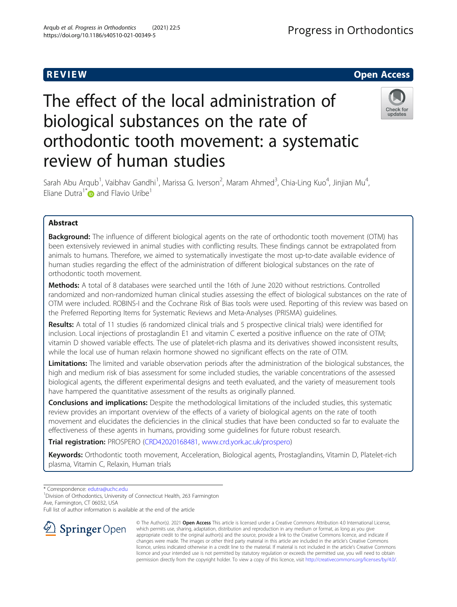# R EVI EW Open Access

The effect of the local administration of biological substances on the rate of orthodontic tooth movement: a systematic review of human studies

Sarah Abu Arqub<sup>1</sup>, Vaibhav Gandhi<sup>1</sup>, Marissa G. Iverson<sup>2</sup>, Maram Ahmed<sup>3</sup>, Chia-Ling Kuo<sup>4</sup>, Jinjian Mu<sup>4</sup> , Eliane Dutra<sup>1[\\*](http://orcid.org/0000-0003-4592-0954)</sup> and Flavio Uribe<sup>1</sup>

# Abstract

**Background:** The influence of different biological agents on the rate of orthodontic tooth movement (OTM) has been extensively reviewed in animal studies with conflicting results. These findings cannot be extrapolated from animals to humans. Therefore, we aimed to systematically investigate the most up-to-date available evidence of human studies regarding the effect of the administration of different biological substances on the rate of orthodontic tooth movement.

Methods: A total of 8 databases were searched until the 16th of June 2020 without restrictions. Controlled randomized and non-randomized human clinical studies assessing the effect of biological substances on the rate of OTM were included. ROBINS-I and the Cochrane Risk of Bias tools were used. Reporting of this review was based on the Preferred Reporting Items for Systematic Reviews and Meta-Analyses (PRISMA) guidelines.

Results: A total of 11 studies (6 randomized clinical trials and 5 prospective clinical trials) were identified for inclusion. Local injections of prostaglandin E1 and vitamin C exerted a positive influence on the rate of OTM; vitamin D showed variable effects. The use of platelet-rich plasma and its derivatives showed inconsistent results, while the local use of human relaxin hormone showed no significant effects on the rate of OTM.

Limitations: The limited and variable observation periods after the administration of the biological substances, the high and medium risk of bias assessment for some included studies, the variable concentrations of the assessed biological agents, the different experimental designs and teeth evaluated, and the variety of measurement tools have hampered the quantitative assessment of the results as originally planned.

Conclusions and implications: Despite the methodological limitations of the included studies, this systematic review provides an important overview of the effects of a variety of biological agents on the rate of tooth movement and elucidates the deficiencies in the clinical studies that have been conducted so far to evaluate the effectiveness of these agents in humans, providing some guidelines for future robust research.

Trial registration: PROSPERO ([CRD42020168481,](https://www.crd.york.ac.uk/prospero/display_record.php?ID=CRD42020168481) [www.crd.york.ac.uk/prospero](http://www.crd.york.ac.uk/prospero))

Keywords: Orthodontic tooth movement, Acceleration, Biological agents, Prostaglandins, Vitamin D, Platelet-rich plasma, Vitamin C, Relaxin, Human trials

\* Correspondence: [edutra@uchc.edu](mailto:edutra@uchc.edu) <sup>1</sup>

<sup>1</sup> Division of Orthodontics, University of Connecticut Health, 263 Farmington Ave, Farmington, CT 06032, USA

Full list of author information is available at the end of the article





© The Author(s). 2021 Open Access This article is licensed under a Creative Commons Attribution 4.0 International License, which permits use, sharing, adaptation, distribution and reproduction in any medium or format, as long as you give appropriate credit to the original author(s) and the source, provide a link to the Creative Commons licence, and indicate if changes were made. The images or other third party material in this article are included in the article's Creative Commons licence, unless indicated otherwise in a credit line to the material. If material is not included in the article's Creative Commons licence and your intended use is not permitted by statutory regulation or exceeds the permitted use, you will need to obtain permission directly from the copyright holder. To view a copy of this licence, visit <http://creativecommons.org/licenses/by/4.0/>.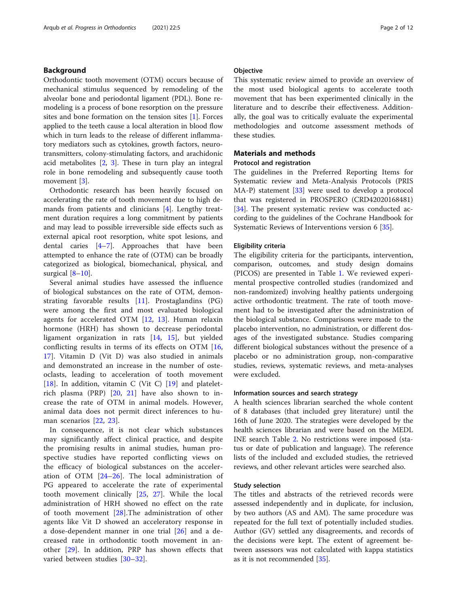# Background

Orthodontic tooth movement (OTM) occurs because of mechanical stimulus sequenced by remodeling of the alveolar bone and periodontal ligament (PDL). Bone remodeling is a process of bone resorption on the pressure sites and bone formation on the tension sites [[1](#page-10-0)]. Forces applied to the teeth cause a local alteration in blood flow which in turn leads to the release of different inflammatory mediators such as cytokines, growth factors, neurotransmitters, colony-stimulating factors, and arachidonic acid metabolites [[2,](#page-10-0) [3](#page-10-0)]. These in turn play an integral role in bone remodeling and subsequently cause tooth movement [\[3](#page-10-0)].

Orthodontic research has been heavily focused on accelerating the rate of tooth movement due to high demands from patients and clinicians [[4](#page-10-0)]. Lengthy treatment duration requires a long commitment by patients and may lead to possible irreversible side effects such as external apical root resorption, white spot lesions, and dental caries [[4](#page-10-0)–[7\]](#page-10-0). Approaches that have been attempted to enhance the rate of (OTM) can be broadly categorized as biological, biomechanical, physical, and surgical [\[8](#page-10-0)–[10\]](#page-10-0).

Several animal studies have assessed the influence of biological substances on the rate of OTM, demonstrating favorable results [\[11](#page-11-0)]. Prostaglandins (PG) were among the first and most evaluated biological agents for accelerated OTM [\[12](#page-11-0), [13](#page-11-0)]. Human relaxin hormone (HRH) has shown to decrease periodontal ligament organization in rats [[14](#page-11-0), [15](#page-11-0)], but yielded conflicting results in terms of its effects on OTM [\[16](#page-11-0), [17\]](#page-11-0). Vitamin D (Vit D) was also studied in animals and demonstrated an increase in the number of osteoclasts, leading to acceleration of tooth movement [[18\]](#page-11-0). In addition, vitamin C (Vit C) [[19](#page-11-0)] and plateletrich plasma (PRP) [[20](#page-11-0), [21](#page-11-0)] have also shown to increase the rate of OTM in animal models. However, animal data does not permit direct inferences to human scenarios [\[22](#page-11-0), [23\]](#page-11-0).

In consequence, it is not clear which substances may significantly affect clinical practice, and despite the promising results in animal studies, human prospective studies have reported conflicting views on the efficacy of biological substances on the acceleration of OTM [[24](#page-11-0)–[26\]](#page-11-0). The local administration of PG appeared to accelerate the rate of experimental tooth movement clinically [[25](#page-11-0), [27](#page-11-0)]. While the local administration of HRH showed no effect on the rate of tooth movement [[28](#page-11-0)].The administration of other agents like Vit D showed an acceleratory response in a dose-dependent manner in one trial [\[26](#page-11-0)] and a decreased rate in orthodontic tooth movement in another [[29\]](#page-11-0). In addition, PRP has shown effects that varied between studies [\[30](#page-11-0)–[32](#page-11-0)].

# **Objective**

This systematic review aimed to provide an overview of the most used biological agents to accelerate tooth movement that has been experimented clinically in the literature and to describe their effectiveness. Additionally, the goal was to critically evaluate the experimental methodologies and outcome assessment methods of these studies.

# Materials and methods

# Protocol and registration

The guidelines in the Preferred Reporting Items for Systematic review and Meta-Analysis Protocols (PRIS MA-P) statement [\[33](#page-11-0)] were used to develop a protocol that was registered in PROSPERO (CRD42020168481) [[34\]](#page-11-0). The present systematic review was conducted according to the guidelines of the Cochrane Handbook for Systematic Reviews of Interventions version 6 [\[35\]](#page-11-0).

### Eligibility criteria

The eligibility criteria for the participants, intervention, comparison, outcomes, and study design domains (PICOS) are presented in Table [1](#page-2-0). We reviewed experimental prospective controlled studies (randomized and non-randomized) involving healthy patients undergoing active orthodontic treatment. The rate of tooth movement had to be investigated after the administration of the biological substance. Comparisons were made to the placebo intervention, no administration, or different dosages of the investigated substance. Studies comparing different biological substances without the presence of a placebo or no administration group, non-comparative studies, reviews, systematic reviews, and meta-analyses were excluded.

# Information sources and search strategy

A health sciences librarian searched the whole content of 8 databases (that included grey literature) until the 16th of June 2020. The strategies were developed by the health sciences librarian and were based on the MEDL INE search Table [2.](#page-3-0) No restrictions were imposed (status or date of publication and language). The reference lists of the included and excluded studies, the retrieved reviews, and other relevant articles were searched also.

### Study selection

The titles and abstracts of the retrieved records were assessed independently and in duplicate, for inclusion, by two authors (AS and AM). The same procedure was repeated for the full text of potentially included studies. Author (GV) settled any disagreements, and records of the decisions were kept. The extent of agreement between assessors was not calculated with kappa statistics as it is not recommended [\[35\]](#page-11-0).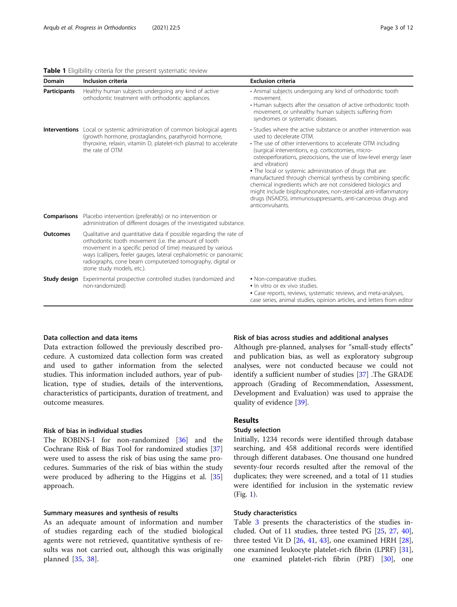<span id="page-2-0"></span>

| Domain              | Inclusion criteria                                                                                                                                                                                                                                                                                                                                          | <b>Exclusion criteria</b>                                                                                                                                                                                                                                                                                                                                                                                                                                                                                                                                                                                                                                    |
|---------------------|-------------------------------------------------------------------------------------------------------------------------------------------------------------------------------------------------------------------------------------------------------------------------------------------------------------------------------------------------------------|--------------------------------------------------------------------------------------------------------------------------------------------------------------------------------------------------------------------------------------------------------------------------------------------------------------------------------------------------------------------------------------------------------------------------------------------------------------------------------------------------------------------------------------------------------------------------------------------------------------------------------------------------------------|
| <b>Participants</b> | Healthy human subjects undergoing any kind of active<br>orthodontic treatment with orthodontic appliances.                                                                                                                                                                                                                                                  | • Animal subjects undergoing any kind of orthodontic tooth<br>movement.<br>• Human subjects after the cessation of active orthodontic tooth<br>movement, or unhealthy human subjects suffering from<br>syndromes or systematic diseases.                                                                                                                                                                                                                                                                                                                                                                                                                     |
|                     | <b>Interventions</b> Local or systemic administration of common biological agents<br>(growth hormone, prostaglandins, parathyroid hormone,<br>thyroxine, relaxin, vitamin D, platelet-rich plasma) to accelerate<br>the rate of OTM                                                                                                                         | • Studies where the active substance or another intervention was<br>used to decelerate OTM.<br>• The use of other interventions to accelerate OTM including<br>(surgical interventions, e.g. corticotomies, micro-<br>osteoperforations, piezocisions, the use of low-level energy laser<br>and vibration)<br>. The local or systemic administration of drugs that are<br>manufactured through chemical synthesis by combining specific<br>chemical ingredients which are not considered biologics and<br>might include bisphosphonates, non-steroidal anti-inflammatory<br>drugs (NSAIDS), immunosuppressants, anti-cancerous drugs and<br>anticonvulsants. |
|                     | <b>Comparisons</b> Placebo intervention (preferably) or no intervention or<br>administration of different dosages of the investigated substance.                                                                                                                                                                                                            |                                                                                                                                                                                                                                                                                                                                                                                                                                                                                                                                                                                                                                                              |
| <b>Outcomes</b>     | Qualitative and quantitative data if possible regarding the rate of<br>orthodontic tooth movement (i.e. the amount of tooth<br>movement in a specific period of time) measured by various<br>ways (callipers, feeler gauges, lateral cephalometric or panoramic<br>radiographs, cone beam computerized tomography, digital or<br>stone study models, etc.). |                                                                                                                                                                                                                                                                                                                                                                                                                                                                                                                                                                                                                                                              |
|                     | <b>Study design</b> Experimental prospective controlled studies (randomized and<br>non-randomized)                                                                                                                                                                                                                                                          | . Non-comparative studies.<br>. In vitro or ex vivo studies.<br>• Case reports, reviews, systematic reviews, and meta-analyses,<br>case series, animal studies, opinion articles, and letters from editor                                                                                                                                                                                                                                                                                                                                                                                                                                                    |

### Data collection and data items

Data extraction followed the previously described procedure. A customized data collection form was created and used to gather information from the selected studies. This information included authors, year of publication, type of studies, details of the interventions, characteristics of participants, duration of treatment, and outcome measures.

# Risk of bias in individual studies

The ROBINS-I for non-randomized [\[36](#page-11-0)] and the Cochrane Risk of Bias Tool for randomized studies [[37](#page-11-0)] were used to assess the risk of bias using the same procedures. Summaries of the risk of bias within the study were produced by adhering to the Higgins et al. [[35](#page-11-0)] approach.

### Summary measures and synthesis of results

As an adequate amount of information and number of studies regarding each of the studied biological agents were not retrieved, quantitative synthesis of results was not carried out, although this was originally planned [\[35](#page-11-0), [38](#page-11-0)].

### Risk of bias across studies and additional analyses

Although pre-planned, analyses for "small-study effects" and publication bias, as well as exploratory subgroup analyses, were not conducted because we could not identify a sufficient number of studies [[37\]](#page-11-0) .The GRADE approach (Grading of Recommendation, Assessment, Development and Evaluation) was used to appraise the quality of evidence [[39](#page-11-0)].

# Results

### Study selection

Initially, 1234 records were identified through database searching, and 458 additional records were identified through different databases. One thousand one hundred seventy-four records resulted after the removal of the duplicates; they were screened, and a total of 11 studies were identified for inclusion in the systematic review (Fig. [1](#page-4-0)).

### Study characteristics

Table [3](#page-5-0) presents the characteristics of the studies included. Out of 11 studies, three tested PG [\[25](#page-11-0), [27](#page-11-0), [40](#page-11-0)], three tested Vit D [[26,](#page-11-0) [41,](#page-11-0) [43](#page-11-0)], one examined HRH [\[28](#page-11-0)], one examined leukocyte platelet-rich fibrin (LPRF) [\[31](#page-11-0)], one examined platelet-rich fibrin (PRF) [[30\]](#page-11-0), one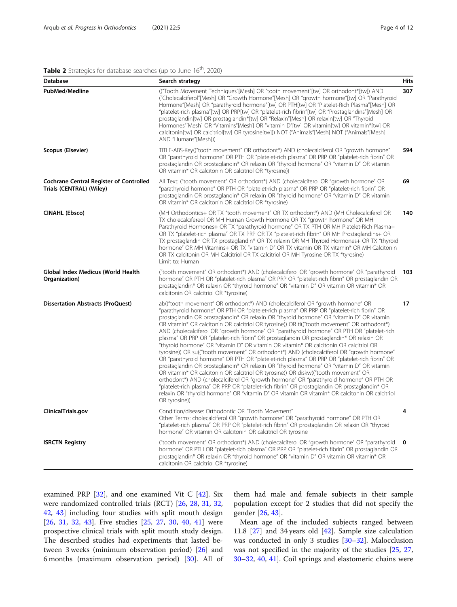# <span id="page-3-0"></span>Table 2 Strategies for database searches (up to June 16<sup>th</sup>, 2020)

| <b>Database</b>                                                            | Search strategy                                                                                                                                                                                                                                                                                                                                                                                                                                                                                                                                                                                                                                                                                                                                                                                                                                                                                                                                                                                                                                                                                                                                                                                                                                                                                                                                                   | <b>Hits</b> |
|----------------------------------------------------------------------------|-------------------------------------------------------------------------------------------------------------------------------------------------------------------------------------------------------------------------------------------------------------------------------------------------------------------------------------------------------------------------------------------------------------------------------------------------------------------------------------------------------------------------------------------------------------------------------------------------------------------------------------------------------------------------------------------------------------------------------------------------------------------------------------------------------------------------------------------------------------------------------------------------------------------------------------------------------------------------------------------------------------------------------------------------------------------------------------------------------------------------------------------------------------------------------------------------------------------------------------------------------------------------------------------------------------------------------------------------------------------|-------------|
| <b>PubMed/Medline</b>                                                      | ("Tooth Movement Techniques"[Mesh] OR "tooth movement"[tw] OR orthodont*[tw]) AND<br>("Cholecalciferol"[Mesh] OR "Growth Hormone"[Mesh] OR "growth hormone"[tw] OR "Parathyroid<br>Hormone"[Mesh] OR "parathyroid hormone"[tw] OR PTH[tw] OR "Platelet-Rich Plasma"[Mesh] OR<br>"platelet-rich plasma"[tw] OR PRP[tw] OR "platelet-rich fibrin"[tw] OR "Prostaglandins"[Mesh] OR<br>prostaglandin[tw] OR prostaglandin*[tw] OR "Relaxin"[Mesh] OR relaxin[tw] OR "Thyroid<br>Hormones"[Mesh] OR "Vitamins"[Mesh] OR "vitamin D"[tw] OR vitamin[tw] OR vitamin*[tw] OR<br>calcitonin[tw] OR calcitriol[tw] OR tyrosine[tw])) NOT ("Animals"[Mesh] NOT ("Animals"[Mesh]<br>AND "Humans"[Mesh]))                                                                                                                                                                                                                                                                                                                                                                                                                                                                                                                                                                                                                                                                     | 307         |
| Scopus (Elsevier)                                                          | TITLE-ABS-Key(("tooth movement" OR orthodont*) AND (cholecalciferol OR "growth hormone"<br>OR "parathyroid hormone" OR PTH OR "platelet-rich plasma" OR PRP OR "platelet-rich fibrin" OR<br>prostaglandin OR prostaglandin* OR relaxin OR "thyroid hormone" OR "vitamin D" OR vitamin<br>OR vitamin* OR calcitonin OR calcitriol OR *tyrosine))                                                                                                                                                                                                                                                                                                                                                                                                                                                                                                                                                                                                                                                                                                                                                                                                                                                                                                                                                                                                                   | 594         |
| <b>Cochrane Central Register of Controlled</b><br>Trials (CENTRAL) (Wiley) | All Text: ("tooth movement" OR orthodont*) AND (cholecalciferol OR "growth hormone" OR<br>"parathyroid hormone" OR PTH OR "platelet-rich plasma" OR PRP OR "platelet-rich fibrin" OR<br>prostaglandin OR prostaglandin* OR relaxin OR "thyroid hormone" OR "vitamin D" OR vitamin<br>OR vitamin* OR calcitonin OR calcitriol OR *tyrosine)                                                                                                                                                                                                                                                                                                                                                                                                                                                                                                                                                                                                                                                                                                                                                                                                                                                                                                                                                                                                                        | 69          |
| <b>CINAHL (Ebsco)</b>                                                      | (MH Orthodontics+ OR TX "tooth movement" OR TX orthodont*) AND (MH Cholecalciferol OR<br>TX cholecalcifereol OR MH Human Growth Hormone OR TX "growth hormone" OR MH<br>Parathyroid Hormones+ OR TX "parathyroid hormone" OR TX PTH OR MH Platelet-Rich Plasma+<br>OR TX "platelet-rich plasma" OR TX PRP OR TX "platelet-rich fibrin" OR MH Prostaglandins+ OR<br>TX prostaglandin OR TX prostaglandin* OR TX relaxin OR MH Thyroid Hormones+ OR TX "thyroid<br>hormone" OR MH Vitamins+ OR TX "vitamin D" OR TX vitamin OR TX vitamin* OR MH Calcitonin<br>OR TX calcitonin OR MH Calcitriol OR TX calcitriol OR MH Tyrosine OR TX *tyrosine)<br>Limit to: Human                                                                                                                                                                                                                                                                                                                                                                                                                                                                                                                                                                                                                                                                                                | 140         |
| Global Index Medicus (World Health<br>Organization)                        | ("tooth movement" OR orthodont*) AND (cholecalciferol OR "growth hormone" OR "parathyroid<br>hormone" OR PTH OR "platelet-rich plasma" OR PRP OR "platelet-rich fibrin" OR prostaglandin OR<br>prostaglandin* OR relaxin OR "thyroid hormone" OR "vitamin D" OR vitamin OR vitamin* OR<br>calcitonin OR calcitriol OR *tyrosine)                                                                                                                                                                                                                                                                                                                                                                                                                                                                                                                                                                                                                                                                                                                                                                                                                                                                                                                                                                                                                                  | 103         |
| <b>Dissertation Abstracts (ProQuest)</b>                                   | ab(("tooth movement" OR orthodont*) AND (cholecalciferol OR "growth hormone" OR<br>"parathyroid hormone" OR PTH OR "platelet-rich plasma" OR PRP OR "platelet-rich fibrin" OR<br>prostaglandin OR prostaglandin* OR relaxin OR "thyroid hormone" OR "vitamin D" OR vitamin<br>OR vitamin* OR calcitonin OR calcitriol OR tyrosine)) OR ti(("tooth movement" OR orthodont*)<br>AND (cholecalciferol OR "growth hormone" OR "parathyroid hormone" OR PTH OR "platelet-rich<br>plasma" OR PRP OR "platelet-rich fibrin" OR prostaglandin OR prostaglandin* OR relaxin OR<br>"thyroid hormone" OR "vitamin D" OR vitamin OR vitamin* OR calcitonin OR calcitriol OR<br>tyrosine)) OR su(("tooth movement" OR orthodont*) AND (cholecalciferol OR "growth hormone"<br>OR "parathyroid hormone" OR PTH OR "platelet-rich plasma" OR PRP OR "platelet-rich fibrin" OR<br>prostaglandin OR prostaglandin* OR relaxin OR "thyroid hormone" OR "vitamin D" OR vitamin<br>OR vitamin* OR calcitonin OR calcitriol OR tyrosine)) OR diskw(("tooth movement" OR<br>orthodont*) AND (cholecalciferol OR "growth hormone" OR "parathyroid hormone" OR PTH OR<br>"platelet-rich plasma" OR PRP OR "platelet-rich fibrin" OR prostaglandin OR prostaglandin* OR<br>relaxin OR "thyroid hormone" OR "vitamin D" OR vitamin OR vitamin* OR calcitonin OR calcitriol<br>OR tyrosine)) | 17          |
| ClinicalTrials.gov                                                         | Condition/disease: Orthodontic OR "Tooth Movement"<br>Other Terms: cholecalciferol OR "growth hormone" OR "parathyroid hormone" OR PTH OR<br>"platelet-rich plasma" OR PRP OR "platelet-rich fibrin" OR prostaglandin OR relaxin OR "thyroid<br>hormone" OR vitamin OR calcitonin OR calcitriol OR tyrosine                                                                                                                                                                                                                                                                                                                                                                                                                                                                                                                                                                                                                                                                                                                                                                                                                                                                                                                                                                                                                                                       | 4           |
| <b>ISRCTN Registry</b>                                                     | ("tooth movement" OR orthodont*) AND (cholecalciferol OR "growth hormone" OR "parathyroid<br>hormone" OR PTH OR "platelet-rich plasma" OR PRP OR "platelet-rich fibrin" OR prostaglandin OR<br>prostaglandin* OR relaxin OR "thyroid hormone" OR "vitamin D" OR vitamin OR vitamin* OR<br>calcitonin OR calcitriol OR *tyrosine)                                                                                                                                                                                                                                                                                                                                                                                                                                                                                                                                                                                                                                                                                                                                                                                                                                                                                                                                                                                                                                  | 0           |

examined PRP [\[32\]](#page-11-0), and one examined Vit C [[42](#page-11-0)]. Six were randomized controlled trials (RCT) [\[26](#page-11-0), [28,](#page-11-0) [31,](#page-11-0) [32](#page-11-0), [42,](#page-11-0) [43](#page-11-0)] including four studies with split mouth design [[26,](#page-11-0) [31](#page-11-0), [32,](#page-11-0) [43\]](#page-11-0). Five studies [[25,](#page-11-0) [27](#page-11-0), [30](#page-11-0), [40,](#page-11-0) [41](#page-11-0)] were prospective clinical trials with split mouth study design. The described studies had experiments that lasted between 3 weeks (minimum observation period) [[26\]](#page-11-0) and 6 months (maximum observation period) [\[30](#page-11-0)]. All of

them had male and female subjects in their sample population except for 2 studies that did not specify the gender [[26](#page-11-0), [43](#page-11-0)].

Mean age of the included subjects ranged between 11.8 [[27\]](#page-11-0) and 34 years old [[42\]](#page-11-0). Sample size calculation was conducted in only 3 studies [[30](#page-11-0)–[32](#page-11-0)]. Malocclusion was not specified in the majority of the studies [[25,](#page-11-0) [27](#page-11-0), [30](#page-11-0)–[32](#page-11-0), [40,](#page-11-0) [41\]](#page-11-0). Coil springs and elastomeric chains were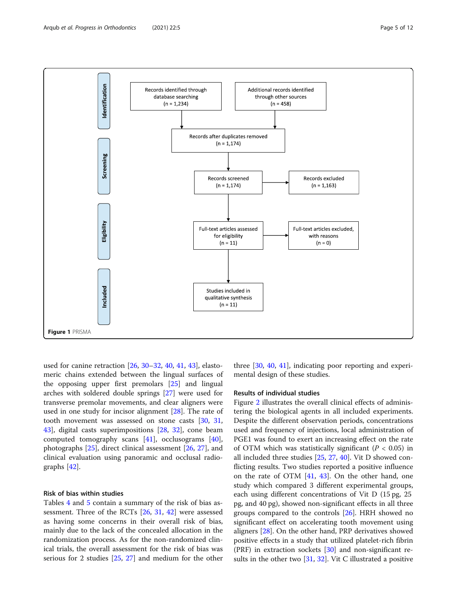

<span id="page-4-0"></span>

used for canine retraction [\[26](#page-11-0), [30](#page-11-0)–[32,](#page-11-0) [40,](#page-11-0) [41](#page-11-0), [43](#page-11-0)], elastomeric chains extended between the lingual surfaces of the opposing upper first premolars [\[25](#page-11-0)] and lingual arches with soldered double springs [\[27](#page-11-0)] were used for transverse premolar movements, and clear aligners were used in one study for incisor alignment [[28\]](#page-11-0). The rate of tooth movement was assessed on stone casts [\[30](#page-11-0), [31](#page-11-0), [43\]](#page-11-0), digital casts superimpositions [\[28,](#page-11-0) [32\]](#page-11-0), cone beam computed tomography scans [[41\]](#page-11-0), occlusograms [\[40](#page-11-0)], photographs [[25\]](#page-11-0), direct clinical assessment [\[26,](#page-11-0) [27](#page-11-0)], and clinical evaluation using panoramic and occlusal radiographs [[42\]](#page-11-0).

# Risk of bias within studies

Tables [4](#page-6-0) and [5](#page-7-0) contain a summary of the risk of bias assessment. Three of the RCTs [[26,](#page-11-0) [31](#page-11-0), [42](#page-11-0)] were assessed as having some concerns in their overall risk of bias, mainly due to the lack of the concealed allocation in the randomization process. As for the non-randomized clinical trials, the overall assessment for the risk of bias was serious for 2 studies [\[25](#page-11-0), [27\]](#page-11-0) and medium for the other

three [[30](#page-11-0), [40](#page-11-0), [41\]](#page-11-0), indicating poor reporting and experimental design of these studies.

# Results of individual studies

Figure [2](#page-7-0) illustrates the overall clinical effects of administering the biological agents in all included experiments. Despite the different observation periods, concentrations used and frequency of injections, local administration of PGE1 was found to exert an increasing effect on the rate of OTM which was statistically significant ( $P < 0.05$ ) in all included three studies [\[25](#page-11-0), [27,](#page-11-0) [40\]](#page-11-0). Vit D showed conflicting results. Two studies reported a positive influence on the rate of OTM [\[41,](#page-11-0) [43](#page-11-0)]. On the other hand, one study which compared 3 different experimental groups, each using different concentrations of Vit D (15 pg, 25 pg, and 40 pg), showed non-significant effects in all three groups compared to the controls [[26](#page-11-0)]. HRH showed no significant effect on accelerating tooth movement using aligners [\[28](#page-11-0)]. On the other hand, PRP derivatives showed positive effects in a study that utilized platelet-rich fibrin  $(PRF)$  in extraction sockets  $[30]$  $[30]$  $[30]$  and non-significant results in the other two [[31](#page-11-0), [32](#page-11-0)]. Vit C illustrated a positive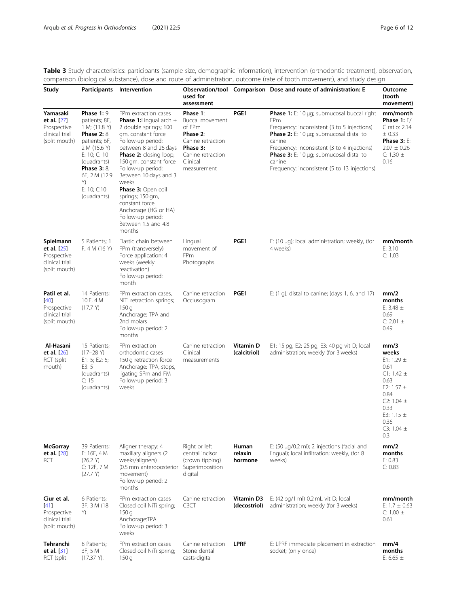<span id="page-5-0"></span>Table 3 Study characteristics: participants (sample size, demographic information), intervention (orthodontic treatment), observation, comparison (biological substance), dose and route of administration, outcome (rate of tooth movement), and study design  $\overline{a}$ 

| Study                                                                      |                                                                                                                                                                                                             | Participants Intervention                                                                                                                                                                                                                                                                                                                                                                                          | used for<br>assessment                                                                                                             |                                                                                                                                                                                       | Observation/tool Comparison Dose and route of administration: E                                                                                                                                                                                                                                                                          | Outcome<br>(tooth<br>movement)                                                                                         |
|----------------------------------------------------------------------------|-------------------------------------------------------------------------------------------------------------------------------------------------------------------------------------------------------------|--------------------------------------------------------------------------------------------------------------------------------------------------------------------------------------------------------------------------------------------------------------------------------------------------------------------------------------------------------------------------------------------------------------------|------------------------------------------------------------------------------------------------------------------------------------|---------------------------------------------------------------------------------------------------------------------------------------------------------------------------------------|------------------------------------------------------------------------------------------------------------------------------------------------------------------------------------------------------------------------------------------------------------------------------------------------------------------------------------------|------------------------------------------------------------------------------------------------------------------------|
| Yamasaki<br>et al. [27]<br>Prospective<br>clinical trial<br>(split mouth)  | Phase 1:9<br>patients; 8F,<br>1 M; (11.8 Y)<br><b>Phase 2: 8</b><br>patients; 6F,<br>2 M (15.6 Y)<br>E: 10; C: 10<br>(quadrants)<br><b>Phase 3: 8;</b><br>6F, 2 M (12.9<br>Y)<br>E: 10; C:10<br>(quadrants) | FPm extraction cases<br><b>Phase 1:</b> Lingual arch $+$<br>2 double springs; 100<br>gm, constant force<br>Follow-up period:<br>between 8 and 26 days<br><b>Phase 2:</b> closing loop;<br>150 gm, constant force<br>Follow-up period:<br>Between 10 days and 3<br>weeks.<br>Phase 3: Open coil<br>springs; 150 gm,<br>constant force<br>Anchorage (HG or HA)<br>Follow-up period:<br>Between 1.5 and 4.8<br>months | Phase 1:<br>Buccal movement<br>of FPm<br>Phase 2:<br>Canine retraction<br>Phase 3:<br>Canine retraction<br>Clinical<br>measurement | PGE1                                                                                                                                                                                  | <b>Phase 1:</b> E: 10 µg; submucosal buccal right<br>FPm<br>Frequency: inconsistent (3 to 5 injections)<br><b>Phase 2:</b> E: 10 $\mu$ g; submucosal distal to<br>canine<br>Frequency: inconsistent (3 to 4 injections)<br><b>Phase 3:</b> E: 10 $\mu$ g; submucosal distal to<br>canine<br>Frequency: inconsistent (5 to 13 injections) | mm/month<br>Phase 1: $E/$<br>C ratio: 2.14<br>± 0.33<br><b>Phase 3: E:</b><br>$2.07 \pm 0.26$<br>C: 1.30 $\pm$<br>0.16 |
| Spielmann<br>et al. [25]<br>Prospective<br>clinical trial<br>(split mouth) | 5 Patients; 1<br>F, 4 M (16 Y)                                                                                                                                                                              | Elastic chain between<br>FPm (transversely)<br>Force application: 4<br>weeks (weekly<br>reactivation)<br>Follow-up period:<br>month                                                                                                                                                                                                                                                                                | Lingual<br>movement of<br>FPm<br>Photographs                                                                                       | PGE1                                                                                                                                                                                  | E: $(10 \mu q)$ ; local administration; weekly, (for<br>4 weeks)                                                                                                                                                                                                                                                                         | mm/month<br>E: 3.10<br>C: 1.03                                                                                         |
| Patil et al.<br>[40]<br>Prospective<br>clinical trial<br>(split mouth)     | 14 Patients;<br>10 F, 4 M<br>(17.7 Y)                                                                                                                                                                       | FPm extraction cases,<br>NiTi retraction springs;<br>150q<br>Anchorage: TPA and<br>2nd molars<br>Follow-up period: 2<br>months                                                                                                                                                                                                                                                                                     | Canine retraction<br>Occlusogram                                                                                                   | PGE1                                                                                                                                                                                  | E: (1 g); distal to canine; (days 1, 6, and 17)                                                                                                                                                                                                                                                                                          | mm/2<br>months<br>E: 3.48 $\pm$<br>0.69<br>C: 2.01 $\pm$<br>0.49                                                       |
| Al-Hasani<br>et al. [26]<br>RCT (split<br>mouth)                           | 15 Patients;<br>$(17-28)$<br>E1: 5; E2: 5;<br>E3:5<br>(quadrants)<br>C: 15<br>(quadrants)                                                                                                                   | FPm extraction<br>Vitamin D<br>E1: 15 pg, E2: 25 pg, E3: 40 pg vit D; local<br>Canine retraction<br>orthodontic cases<br>Clinical<br>(calcitriol)<br>administration; weekly (for 3 weeks)<br>150 g retraction force<br>measurements<br>Anchorage: TPA, stops,<br>ligating SPm and FM<br>Follow-up period: 3<br>weeks                                                                                               |                                                                                                                                    | mm/3<br>weeks<br>E1: 1.29 $\pm$<br>0.61<br>$C1: 1.42 \pm$<br>0.63<br>E2: 1.57 $\pm$<br>0.84<br>C <sub>2</sub> : 1.04 $\pm$<br>0.33<br>E3: 1.15 $\pm$<br>0.36<br>C3: 1.04 $\pm$<br>0.3 |                                                                                                                                                                                                                                                                                                                                          |                                                                                                                        |
| <b>McGorray</b><br>et al. [28]<br>RCT                                      | 39 Patients;<br>E: 16F, 4 M<br>(26.2 V)<br>C: 12F, 7 M<br>(27.7 Y)                                                                                                                                          | Aligner therapy: 4<br>maxillary aligners (2<br>weeks/aligners)<br>(0.5 mm anteroposterior<br>movement)<br>Follow-up period: 2<br>months                                                                                                                                                                                                                                                                            | Right or left<br>central incisor<br>(crown tipping)<br>Superimposition<br>digital                                                  | Human<br>relaxin<br>hormone                                                                                                                                                           | E: $(50 \mu g/0.2 \text{ ml})$ ; 2 injections (facial and<br>lingual); local infiltration; weekly, (for 8<br>weeks)                                                                                                                                                                                                                      | mm/2<br>months<br>E: 0.83<br>C: 0.83                                                                                   |
| Ciur et al.<br>[41]<br>Prospective<br>clinical trial<br>(split mouth)      | 6 Patients;<br>3F, 3M (18)<br>Y)                                                                                                                                                                            | FPm extraction cases<br>Closed coil NiTi spring;<br>150q<br>Anchorage:TPA<br>Follow-up period: 3<br>weeks                                                                                                                                                                                                                                                                                                          | Canine retraction<br><b>CBCT</b>                                                                                                   | Vitamin D3<br>E: (42 pg/1 ml) 0.2 mL vit D; local<br>administration; weekly (for 3 weeks)<br>(decostriol)                                                                             |                                                                                                                                                                                                                                                                                                                                          | mm/month<br>E: $1.7 \pm 0.63$<br>C: 1.00 $\pm$<br>0.61                                                                 |
| Tehranchi<br>et al. [31]<br>RCT (split                                     | 8 Patients;<br>3F, 5 M<br>(17.37 Y).                                                                                                                                                                        | FPm extraction cases<br>Closed coil NiTi spring;<br>150q                                                                                                                                                                                                                                                                                                                                                           | Canine retraction<br>Stone dental<br>casts-digital                                                                                 | <b>LPRF</b>                                                                                                                                                                           | E: LPRF immediate placement in extraction<br>socket; (only once)                                                                                                                                                                                                                                                                         | mm/4<br>months<br>E: 6.65 $\pm$                                                                                        |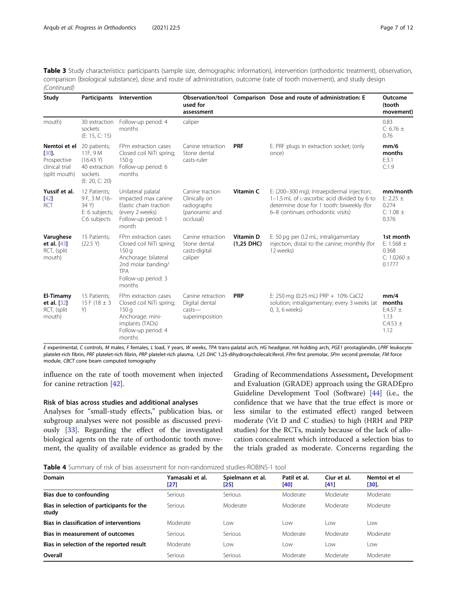<span id="page-6-0"></span>Table 3 Study characteristics: participants (sample size, demographic information), intervention (orthodontic treatment), observation, comparison (biological substance), dose and route of administration, outcome (rate of tooth movement), and study design (Continued)

| Study                                                                      | Participants                                                                        | Intervention                                                                                                                                                                                                                                                                                              | used for<br>assessment                                                         |                                               | Observation/tool Comparison Dose and route of administration: E                                                                                                             | Outcome<br>(tooth<br>movement)                                 |
|----------------------------------------------------------------------------|-------------------------------------------------------------------------------------|-----------------------------------------------------------------------------------------------------------------------------------------------------------------------------------------------------------------------------------------------------------------------------------------------------------|--------------------------------------------------------------------------------|-----------------------------------------------|-----------------------------------------------------------------------------------------------------------------------------------------------------------------------------|----------------------------------------------------------------|
| mouth)                                                                     | 30 extraction<br>sockets<br>(E: 15, C: 15)                                          | Follow-up period: 4<br>months                                                                                                                                                                                                                                                                             | caliper                                                                        |                                               |                                                                                                                                                                             | 0.83<br>C: 6.76 $\pm$<br>0.76                                  |
| Nemtoi et el<br>$[30]$ .<br>Prospective<br>clinical trial<br>(split mouth) | 20 patients;<br>11F, 9 M<br>(16.43 Y)<br>40 extraction<br>sockets<br>(E: 20, C: 20) | FPm extraction cases<br>Closed coil NiTi spring;<br>150q<br>Follow-up period: 6<br>months                                                                                                                                                                                                                 | Canine retraction<br>Stone dental<br>casts-ruler                               | <b>PRF</b>                                    | E: PRF plugs in extraction socket; (only<br>once)                                                                                                                           | mm/6<br>months<br>E:3.1<br>C:1.9                               |
| Yussif et al.<br>$[42]$<br><b>RCT</b>                                      | 12 Patients;<br>9F, 3M (16-<br>34 Y)<br>E: 6 subjects;<br>C:6 subjects              | Unilateral palatal<br>impacted max canine<br>Elastic chain traction<br>(every 2 weeks)<br>Follow-up period: 1<br>month                                                                                                                                                                                    | Canine traction<br>Clinically on<br>radiographs<br>(panoramic and<br>occlusal) | Vitamin C                                     | E: (200-300 mg); Intraepidermal injection;<br>1-1.5 mL of L-ascorbic acid divided by 6 to<br>determine dose for 1 tooth: biweekly (for<br>6-8 continues orthodontic visits) | mm/month<br>E: 2.25 $\pm$<br>0.274<br>C: 1.08 $\pm$<br>0.376   |
| Varughese<br>et al. [43]<br>RCT, (split<br>mouth)                          | 15 Patients;<br>(22.5 Y)                                                            | FPm extraction cases<br>Vitamin D<br>E: 50 pg per 0.2 mL; intraligamentary<br>Canine retraction<br>Closed coil NiTi spring;<br>Stone dental<br>$(1,25$ DHC)<br>12 weeks)<br>150q<br>casts-digital<br>Anchorage: bilateral<br>caliper<br>2nd molar banding/<br><b>TPA</b><br>Follow-up period: 3<br>months |                                                                                | injection; distal to the canine; monthly (for | 1st month<br>E: 1.568 $\pm$<br>0.368<br>C: 1.0260 $\pm$<br>0.1777                                                                                                           |                                                                |
| El-Timamy<br>et al. [32]<br>RCT, (split<br>mouth)                          | 15 Patients;<br>15 F (18 $\pm$ 3<br>Y)                                              | FPm extraction cases<br>Closed coil NiTi spring;<br>150q<br>Anchorage: mini-<br>implants (TADs)<br>Follow-up period: 4<br>months                                                                                                                                                                          | Canine retraction<br>Digital dental<br>$casts$ —<br>superimposition            | <b>PRP</b>                                    | E: 250 mg (0.25 mL) PRP + 10% CaCl2<br>solution; intraligamentary; every 3 weeks (at<br>0, 3, 6 weeks)                                                                      | mm/4<br>months<br>E:4.57 $\pm$<br>1.13<br>$C:4.53 \pm$<br>1.12 |

E experimental, C controls, M males, F females, L load, Y years, W weeks, TPA trans-palatal arch, HG headgear, HA holding arch, PGE1 prostaglandin, LPRF leukocyte platelet-rich fibrin, PRF platelet-rich fibrin, PRP platelet-rich plasma, 1,25 DHC 1,25-dihydroxycholecalciferol, FPm first premolar, SPm second premolar, FM force module, CBCT cone beam computed tomography

influence on the rate of tooth movement when injected for canine retraction [[42\]](#page-11-0).

### Risk of bias across studies and additional analyses

Analyses for "small-study effects," publication bias, or subgroup analyses were not possible as discussed previously [\[33\]](#page-11-0). Regarding the effect of the investigated biological agents on the rate of orthodontic tooth movement, the quality of available evidence as graded by the

Grading of Recommendations Assessment, Development and Evaluation (GRADE) approach using the GRADEpro Guideline Development Tool (Software) [\[44\]](#page-11-0) (i.e., the confidence that we have that the true effect is more or less similar to the estimated effect) ranged between moderate (Vit D and C studies) to high (HRH and PRP studies) for the RCTs, mainly because of the lack of allocation concealment which introduced a selection bias to the trials graded as moderate. Concerns regarding the

Table 4 Summary of risk of bias assessment for non-randomized studies-ROBINS-1 tool

| <b>Domain</b>                                      | Yamasaki et al.<br>$\left  \frac{27}{2} \right $ | Spielmann et al.<br>[25] | Patil et al.<br>[40] | Ciur et al.<br>[41] | Nemtoi et el<br>$[30]$ . |
|----------------------------------------------------|--------------------------------------------------|--------------------------|----------------------|---------------------|--------------------------|
| Bias due to confounding                            | Serious                                          | Serious                  | Moderate             | Moderate            | Moderate                 |
| Bias in selection of participants for the<br>study | Serious                                          | Moderate                 | Moderate             | Moderate            | Moderate                 |
| Bias in classification of interventions            | Moderate                                         | LOW                      | l ow                 | l ow                | Low                      |
| Bias in measurement of outcomes                    | Serious                                          | Serious                  | Moderate             | Moderate            | Moderate                 |
| Bias in selection of the reported result           | Moderate                                         | Low                      | <b>LOW</b>           | Low                 | Low                      |
| Overall                                            | Serious                                          | Serious                  | Moderate             | Moderate            | Moderate                 |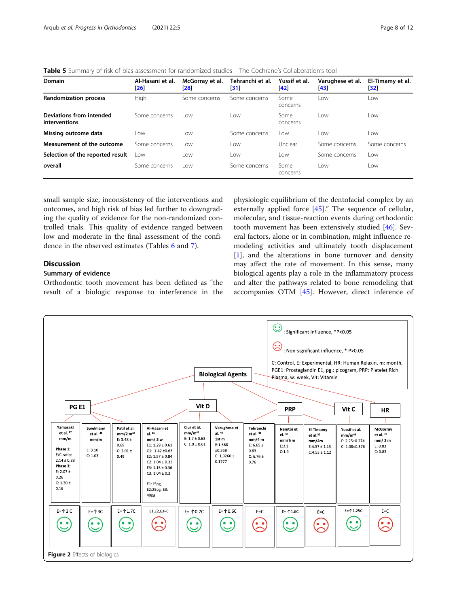<span id="page-7-0"></span>Table 5 Summary of risk of bias assessment for randomized studies—The Cochrane's Collaboration's tool

| Domain                                    | Al-Hasani et al.<br>[26] | McGorray et al.<br>[28] | Tehranchi et al.<br> 31 | Yussif et al.<br>$[42]$ | Varughese et al.<br>[43] | El-Timamy et al.<br>[32] |
|-------------------------------------------|--------------------------|-------------------------|-------------------------|-------------------------|--------------------------|--------------------------|
| <b>Randomization process</b>              | High                     | Some concerns           | Some concerns           | Some<br>concerns        | Low                      | Low                      |
| Deviations from intended<br>interventions | Some concerns            | l ow                    | LOW                     | Some<br>concerns        | l ow                     | Low                      |
| Missing outcome data                      | Low                      | Low                     | Some concerns           | Low                     | Low                      | Low                      |
| Measurement of the outcome                | Some concerns            | l ow                    | Low                     | Unclear                 | Some concerns            | Some concerns            |
| Selection of the reported result          | l ow                     | Low                     | LOW                     | Low                     | Some concerns            | Low                      |
| overall                                   | Some concerns            | l ow                    | Some concerns           | Some<br>concerns        | Low                      | Low                      |

small sample size, inconsistency of the interventions and outcomes, and high risk of bias led further to downgrading the quality of evidence for the non-randomized controlled trials. This quality of evidence ranged between low and moderate in the final assessment of the confidence in the observed estimates (Tables [6](#page-8-0) and [7\)](#page-8-0).

# Discussion

# Summary of evidence

Orthodontic tooth movement has been defined as "the result of a biologic response to interference in the

physiologic equilibrium of the dentofacial complex by an externally applied force [[45\]](#page-11-0)." The sequence of cellular, molecular, and tissue-reaction events during orthodontic tooth movement has been extensively studied [\[46](#page-11-0)]. Several factors, alone or in combination, might influence remodeling activities and ultimately tooth displacement [[1\]](#page-10-0), and the alterations in bone turnover and density may affect the rate of movement. In this sense, many biological agents play a role in the inflammatory process and alter the pathways related to bone remodeling that accompanies OTM [\[45](#page-11-0)]. However, direct inference of

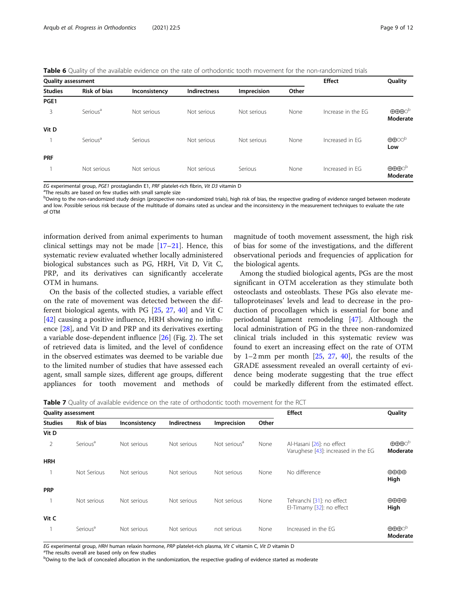<span id="page-8-0"></span>Table 6 Quality of the available evidence on the rate of orthodontic tooth movement for the non-randomized trials

| <b>Quality assessment</b> |                      | <b>Effect</b> | Quality             |             |       |                    |                                                       |
|---------------------------|----------------------|---------------|---------------------|-------------|-------|--------------------|-------------------------------------------------------|
| <b>Studies</b>            | <b>Risk of bias</b>  | Inconsistency | <b>Indirectness</b> | Imprecision | Other |                    |                                                       |
| PGE1                      |                      |               |                     |             |       |                    |                                                       |
| 3                         | Serious <sup>a</sup> | Not serious   | Not serious         | Not serious | None  | Increase in the EG | $\oplus \oplus \oplus \circ^{\mathrm{b}}$<br>Moderate |
| Vit D                     |                      |               |                     |             |       |                    |                                                       |
|                           | Serious <sup>a</sup> | Serious       | Not serious         | Not serious | None  | Increased in FG    | $\oplus \oplus \circ \circ^{\flat}$<br>Low            |
| <b>PRF</b>                |                      |               |                     |             |       |                    |                                                       |
|                           | Not serious          | Not serious   | Not serious         | Serious     | None  | Increased in FG    | $\oplus \oplus \oplus \circ^{\flat}$<br>Moderate      |

EG experimental group, PGE1 prostaglandin E1, PRF platelet-rich fibrin, Vit D3 vitamin D

<sup>a</sup>The results are based on few studies with small sample size

b<br><sup>b</sup>Owing to the non-randomized study design (prospective non-randomized trials), high risk of bias, the respective grading of evidence ranged between moderate and low. Possible serious risk because of the multitude of domains rated as unclear and the inconsistency in the measurement techniques to evaluate the rate of OTM

information derived from animal experiments to human clinical settings may not be made  $[17-21]$  $[17-21]$  $[17-21]$  $[17-21]$  $[17-21]$ . Hence, this systematic review evaluated whether locally administered biological substances such as PG, HRH, Vit D, Vit C, PRP, and its derivatives can significantly accelerate OTM in humans.

On the basis of the collected studies, a variable effect on the rate of movement was detected between the different biological agents, with PG [[25](#page-11-0), [27](#page-11-0), [40\]](#page-11-0) and Vit C [[42\]](#page-11-0) causing a positive influence, HRH showing no influence [\[28](#page-11-0)], and Vit D and PRP and its derivatives exerting a variable dose-dependent influence [\[26\]](#page-11-0) (Fig. [2\)](#page-7-0). The set of retrieved data is limited, and the level of confidence in the observed estimates was deemed to be variable due to the limited number of studies that have assessed each agent, small sample sizes, different age groups, different appliances for tooth movement and methods of magnitude of tooth movement assessment, the high risk of bias for some of the investigations, and the different observational periods and frequencies of application for the biological agents.

Among the studied biological agents, PGs are the most significant in OTM acceleration as they stimulate both osteoclasts and osteoblasts. These PGs also elevate metalloproteinases' levels and lead to decrease in the production of procollagen which is essential for bone and periodontal ligament remodeling [[47\]](#page-11-0). Although the local administration of PG in the three non-randomized clinical trials included in this systematic review was found to exert an increasing effect on the rate of OTM by 1–2 mm per month  $[25, 27, 40]$  $[25, 27, 40]$  $[25, 27, 40]$  $[25, 27, 40]$  $[25, 27, 40]$  $[25, 27, 40]$ , the results of the GRADE assessment revealed an overall certainty of evidence being moderate suggesting that the true effect could be markedly different from the estimated effect.

Table 7 Quality of available evidence on the rate of orthodontic tooth movement for the RCT

|                | <b>Quality assessment</b> |               | <b>Effect</b> | Quality                  |       |                                                                  |                                                           |
|----------------|---------------------------|---------------|---------------|--------------------------|-------|------------------------------------------------------------------|-----------------------------------------------------------|
| <b>Studies</b> | <b>Risk of bias</b>       | Inconsistency | Indirectness  | Imprecision              | Other |                                                                  |                                                           |
| Vit D          |                           |               |               |                          |       |                                                                  |                                                           |
| 2              | Serious <sup>a</sup>      | Not serious   | Not serious   | Not serious <sup>a</sup> | None  | Al-Hasani [26]: no effect<br>Varughese [43]: increased in the EG | $\oplus\oplus\oplus\circ^{\rm b}$<br>Moderate             |
| <b>HRH</b>     |                           |               |               |                          |       |                                                                  |                                                           |
|                | Not Serious               | Not serious   | Not serious   | Not serious              | None  | No difference                                                    | $\oplus \oplus \oplus$<br>High                            |
| <b>PRP</b>     |                           |               |               |                          |       |                                                                  |                                                           |
|                | Not serious               | Not serious   | Not serious   | Not serious              | None  | Tehranchi [31]: no effect<br>El-Timamy [32]: no effect           | $\oplus \oplus \oplus$<br>High                            |
| Vit C          |                           |               |               |                          |       |                                                                  |                                                           |
|                | Serious <sup>a</sup>      | Not serious   | Not serious   | not serious              | None  | Increased in the FG                                              | $\oplus \oplus \oplus \circ^{\triangleright}$<br>Moderate |

EG experimental group, HRH human relaxin hormone, PRP platelet-rich plasma, Vit C vitamin C, Vit D vitamin D

<sup>a</sup>The results overall are based only on few studies

**bOwing to the lack of concealed allocation in the randomization, the respective grading of evidence started as moderate**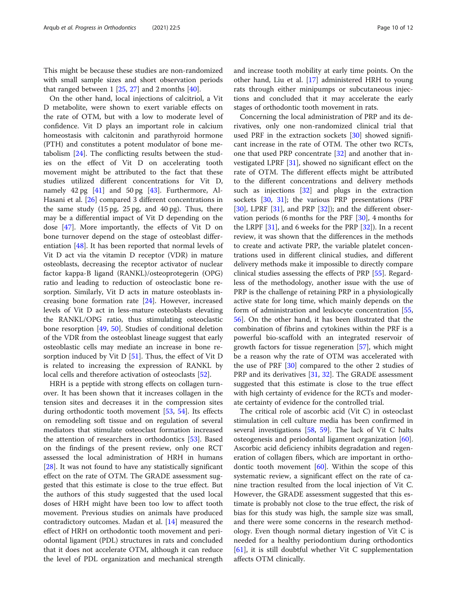This might be because these studies are non-randomized with small sample sizes and short observation periods that ranged between  $1$  [\[25,](#page-11-0) [27\]](#page-11-0) and 2 months [[40\]](#page-11-0).

On the other hand, local injections of calcitriol, a Vit D metabolite, were shown to exert variable effects on the rate of OTM, but with a low to moderate level of confidence. Vit D plays an important role in calcium homeostasis with calcitonin and parathyroid hormone (PTH) and constitutes a potent modulator of bone metabolism [[24](#page-11-0)]. The conflicting results between the studies on the effect of Vit D on accelerating tooth movement might be attributed to the fact that these studies utilized different concentrations for Vit D, namely 42 pg [[41](#page-11-0)] and 50 pg [\[43](#page-11-0)]. Furthermore, Al-Hasani et al. [[26\]](#page-11-0) compared 3 different concentrations in the same study (15 pg, 25 pg, and 40 pg). Thus, there may be a differential impact of Vit D depending on the dose [[47](#page-11-0)]. More importantly, the effects of Vit D on bone turnover depend on the stage of osteoblast differentiation [\[48](#page-11-0)]. It has been reported that normal levels of Vit D act via the vitamin D receptor (VDR) in mature osteoblasts, decreasing the receptor activator of nuclear factor kappa-Β ligand (RANKL)/osteoprotegerin (OPG) ratio and leading to reduction of osteoclastic bone resorption. Similarly, Vit D acts in mature osteoblasts increasing bone formation rate [[24\]](#page-11-0). However, increased levels of Vit D act in less-mature osteoblasts elevating the RANKL/OPG ratio, thus stimulating osteoclastic bone resorption [\[49](#page-11-0), [50\]](#page-11-0). Studies of conditional deletion of the VDR from the osteoblast lineage suggest that early osteoblastic cells may mediate an increase in bone resorption induced by Vit  $D$  [\[51\]](#page-11-0). Thus, the effect of Vit  $D$ is related to increasing the expression of RANKL by local cells and therefore activation of osteoclasts [[52](#page-11-0)].

HRH is a peptide with strong effects on collagen turnover. It has been shown that it increases collagen in the tension sites and decreases it in the compression sites during orthodontic tooth movement [[53,](#page-11-0) [54](#page-11-0)]. Its effects on remodeling soft tissue and on regulation of several mediators that stimulate osteoclast formation increased the attention of researchers in orthodontics [[53\]](#page-11-0). Based on the findings of the present review, only one RCT assessed the local administration of HRH in humans [[28\]](#page-11-0). It was not found to have any statistically significant effect on the rate of OTM. The GRADE assessment suggested that this estimate is close to the true effect. But the authors of this study suggested that the used local doses of HRH might have been too low to affect tooth movement. Previous studies on animals have produced contradictory outcomes. Madan et al. [\[14](#page-11-0)] measured the effect of HRH on orthodontic tooth movement and periodontal ligament (PDL) structures in rats and concluded that it does not accelerate OTM, although it can reduce the level of PDL organization and mechanical strength and increase tooth mobility at early time points. On the other hand, Liu et al. [\[17\]](#page-11-0) administered HRH to young rats through either minipumps or subcutaneous injections and concluded that it may accelerate the early stages of orthodontic tooth movement in rats.

Concerning the local administration of PRP and its derivatives, only one non-randomized clinical trial that used PRF in the extraction sockets [[30\]](#page-11-0) showed significant increase in the rate of OTM. The other two RCTs, one that used PRP concentrate [[32](#page-11-0)] and another that investigated LPRF [\[31](#page-11-0)], showed no significant effect on the rate of OTM. The different effects might be attributed to the different concentrations and delivery methods such as injections [[32\]](#page-11-0) and plugs in the extraction sockets [\[30](#page-11-0), [31\]](#page-11-0); the various PRP presentations (PRF [[30\]](#page-11-0), LPRF [[31\]](#page-11-0), and PRP [\[32](#page-11-0)]); and the different observation periods (6 months for the PRF [[30\]](#page-11-0), 4 months for the LRPF [[31\]](#page-11-0), and 6 weeks for the PRP [[32\]](#page-11-0)). In a recent review, it was shown that the differences in the methods to create and activate PRP, the variable platelet concentrations used in different clinical studies, and different delivery methods make it impossible to directly compare clinical studies assessing the effects of PRP [\[55\]](#page-11-0). Regardless of the methodology, another issue with the use of PRP is the challenge of retaining PRP in a physiologically active state for long time, which mainly depends on the form of administration and leukocyte concentration [[55](#page-11-0), [56\]](#page-11-0). On the other hand, it has been illustrated that the combination of fibrins and cytokines within the PRF is a powerful bio-scaffold with an integrated reservoir of growth factors for tissue regeneration [[57\]](#page-11-0), which might be a reason why the rate of OTM was accelerated with the use of PRF [\[30](#page-11-0)] compared to the other 2 studies of PRP and its derivatives [[31,](#page-11-0) [32\]](#page-11-0). The GRADE assessment suggested that this estimate is close to the true effect with high certainty of evidence for the RCTs and moderate certainty of evidence for the controlled trial.

The critical role of ascorbic acid (Vit C) in osteoclast stimulation in cell culture media has been confirmed in several investigations [\[58](#page-11-0), [59\]](#page-11-0). The lack of Vit C halts osteogenesis and periodontal ligament organization [\[60](#page-11-0)]. Ascorbic acid deficiency inhibits degradation and regeneration of collagen fibers, which are important in orthodontic tooth movement  $[60]$  $[60]$ . Within the scope of this systematic review, a significant effect on the rate of canine traction resulted from the local injection of Vit C. However, the GRADE assessment suggested that this estimate is probably not close to the true effect, the risk of bias for this study was high, the sample size was small, and there were some concerns in the research methodology. Even though normal dietary ingestion of Vit C is needed for a healthy periodontium during orthodontics [[61\]](#page-11-0), it is still doubtful whether Vit C supplementation affects OTM clinically.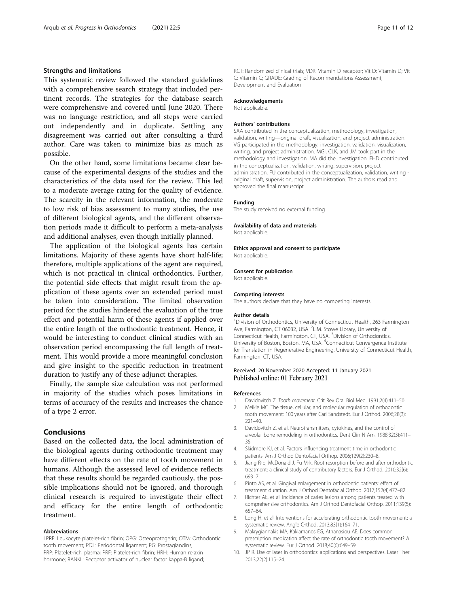### <span id="page-10-0"></span>Strengths and limitations

This systematic review followed the standard guidelines with a comprehensive search strategy that included pertinent records. The strategies for the database search were comprehensive and covered until June 2020. There was no language restriction, and all steps were carried out independently and in duplicate. Settling any disagreement was carried out after consulting a third author. Care was taken to minimize bias as much as possible.

On the other hand, some limitations became clear because of the experimental designs of the studies and the characteristics of the data used for the review. This led to a moderate average rating for the quality of evidence. The scarcity in the relevant information, the moderate to low risk of bias assessment to many studies, the use of different biological agents, and the different observation periods made it difficult to perform a meta-analysis and additional analyses, even though initially planned.

The application of the biological agents has certain limitations. Majority of these agents have short half-life; therefore, multiple applications of the agent are required, which is not practical in clinical orthodontics. Further, the potential side effects that might result from the application of these agents over an extended period must be taken into consideration. The limited observation period for the studies hindered the evaluation of the true effect and potential harm of these agents if applied over the entire length of the orthodontic treatment. Hence, it would be interesting to conduct clinical studies with an observation period encompassing the full length of treatment. This would provide a more meaningful conclusion and give insight to the specific reduction in treatment duration to justify any of these adjunct therapies.

Finally, the sample size calculation was not performed in majority of the studies which poses limitations in terms of accuracy of the results and increases the chance of a type 2 error.

# Conclusions

Based on the collected data, the local administration of the biological agents during orthodontic treatment may have different effects on the rate of tooth movement in humans. Although the assessed level of evidence reflects that these results should be regarded cautiously, the possible implications should not be ignored, and thorough clinical research is required to investigate their effect and efficacy for the entire length of orthodontic treatment.

### Abbreviations

LPRF: Leukocyte platelet-rich fibrin; OPG: Osteoprotegerin; OTM: Orthodontic tooth movement; PDL: Periodontal ligament; PG: Prostaglandins; PRP: Platelet-rich plasma; PRF: Platelet-rich fibrin; HRH: Human relaxin hormone; RANKL: Receptor activator of nuclear factor kappa-Β ligand;

RCT: Randomized clinical trials; VDR: Vitamin D receptor; Vit D: Vitamin D; Vit C: Vitamin C; GRADE: Grading of Recommendations Assessment, Development and Evaluation

#### Acknowledgements

Not applicable.

#### Authors' contributions

SAA contributed in the conceptualization, methodology, investigation, validation, writing—original draft, visualization, and project administration. VG participated in the methodology, investigation, validation, visualization, writing, and project administration. MGI, CLK, and JM took part in the methodology and investigation. MA did the investigation. EHD contributed in the conceptualization, validation, writing, supervision, project administration. FU contributed in the conceptualization, validation, writing original draft, supervision, project administration. The authors read and approved the final manuscript.

#### Funding

The study received no external funding.

#### Availability of data and materials

Not applicable

#### Ethics approval and consent to participate Not applicable.

### Consent for publication

Not applicable.

#### Competing interests

The authors declare that they have no competing interests.

#### Author details

<sup>1</sup> Division of Orthodontics, University of Connecticut Health, 263 Farmington Ave, Farmington, CT 06032, USA. <sup>2</sup>L.M. Stowe Library, University of Connecticut Health, Farmington, CT, USA. <sup>3</sup>Division of Orthodontics University of Boston, Boston, MA, USA. <sup>4</sup>Connecticut Convergence Institute for Translation in Regenerative Engineering, University of Connecticut Health, Farmington, CT, USA.

### Received: 20 November 2020 Accepted: 11 January 2021 Published online: 01 February 2021

#### References

- 1. Davidovitch Z. Tooth movement. Crit Rev Oral Biol Med. 1991;2(4):411–50.
- 2. Meikle MC. The tissue, cellular, and molecular regulation of orthodontic tooth movement: 100 years after Carl Sandstedt. Eur J Orthod. 2006;28(3): 221–40.
- 3. Davidovitch Z, et al. Neurotransmitters, cytokines, and the control of alveolar bone remodeling in orthodontics. Dent Clin N Am. 1988;32(3):411– 35.
- Skidmore KJ, et al. Factors influencing treatment time in orthodontic patients. Am J Orthod Dentofacial Orthop. 2006;129(2):230–8.
- 5. Jiang R-p, McDonald J, Fu M-k. Root resorption before and after orthodontic treatment: a clinical study of contributory factors. Eur J Orthod. 2010;32(6): 693–7.
- 6. Pinto AS, et al. Gingival enlargement in orthodontic patients: effect of treatment duration. Am J Orthod Dentofacial Orthop. 2017;152(4):477–82.
- 7. Richter AE, et al. Incidence of caries lesions among patients treated with comprehensive orthodontics. Am J Orthod Dentofacial Orthop. 2011;139(5): 657–64.
- 8. Long H, et al. Interventions for accelerating orthodontic tooth movement: a systematic review. Angle Orthod. 2013;83(1):164–71.
- 9. Makrygiannakis MA, Kaklamanos EG, Athanasiou AE. Does common prescription medication affect the rate of orthodontic tooth movement? A systematic review. Eur J Orthod. 2018;40(6):649–59.
- 10. JP R. Use of laser in orthodontics: applications and perspectives. Laser Ther. 2013;22(2):115–24.